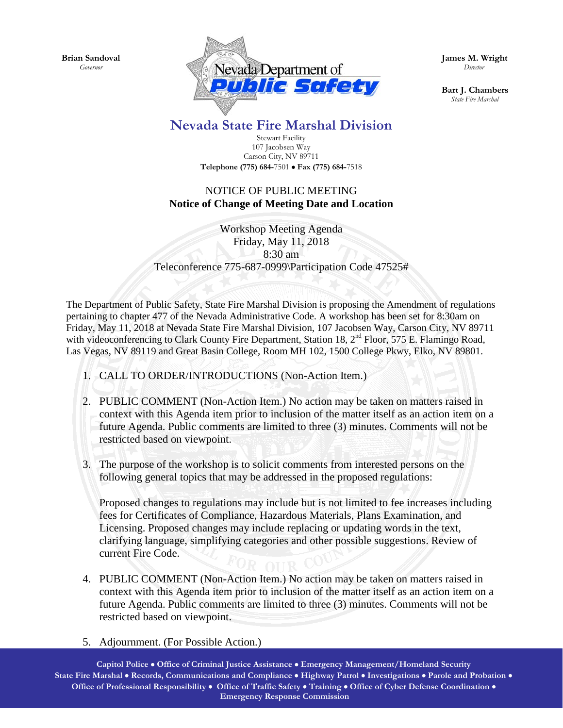**Brian Sandoval** *Governor*



**James M. Wright**  *Director*

**Bart J. Chambers**  *State Fire Marshal*

## **Nevada State Fire Marshal Division**

Stewart Facility 107 Jacobsen Way Carson City, NV 89711 **Telephone (775) 684-**7501 • **Fax (775) 684-**7518

## NOTICE OF PUBLIC MEETING **Notice of Change of Meeting Date and Location**

Workshop Meeting Agenda Friday, May 11, 2018 8:30 am Teleconference 775-687-0999\Participation Code 47525#

The Department of Public Safety, State Fire Marshal Division is proposing the Amendment of regulations pertaining to chapter 477 of the Nevada Administrative Code. A workshop has been set for 8:30am on Friday, May 11, 2018 at Nevada State Fire Marshal Division, 107 Jacobsen Way, Carson City, NV 89711 with videoconferencing to Clark County Fire Department, Station 18, 2<sup>nd</sup> Floor, 575 E. Flamingo Road, Las Vegas, NV 89119 and Great Basin College, Room MH 102, 1500 College Pkwy, Elko, NV 89801.

- 1. CALL TO ORDER/INTRODUCTIONS (Non-Action Item.)
- 2. PUBLIC COMMENT (Non-Action Item.) No action may be taken on matters raised in context with this Agenda item prior to inclusion of the matter itself as an action item on a future Agenda. Public comments are limited to three (3) minutes. Comments will not be restricted based on viewpoint.
- 3. The purpose of the workshop is to solicit comments from interested persons on the following general topics that may be addressed in the proposed regulations:

Proposed changes to regulations may include but is not limited to fee increases including fees for Certificates of Compliance, Hazardous Materials, Plans Examination, and Licensing. Proposed changes may include replacing or updating words in the text, clarifying language, simplifying categories and other possible suggestions. Review of current Fire Code.

- 4. PUBLIC COMMENT (Non-Action Item.) No action may be taken on matters raised in context with this Agenda item prior to inclusion of the matter itself as an action item on a future Agenda. Public comments are limited to three (3) minutes. Comments will not be restricted based on viewpoint.
- 5. Adjournment. (For Possible Action.)

**Capitol Police** • **Office of Criminal Justice Assistance** • **Emergency Management/Homeland Security State Fire Marshal** • **Records, Communications and Compliance** • **Highway Patrol** • **Investigations** • **Parole and Probation** • **Office of Professional Responsibility** • **Office of Traffic Safety** • **Training** • **Office of Cyber Defense Coordination** • **Emergency Response Commission**